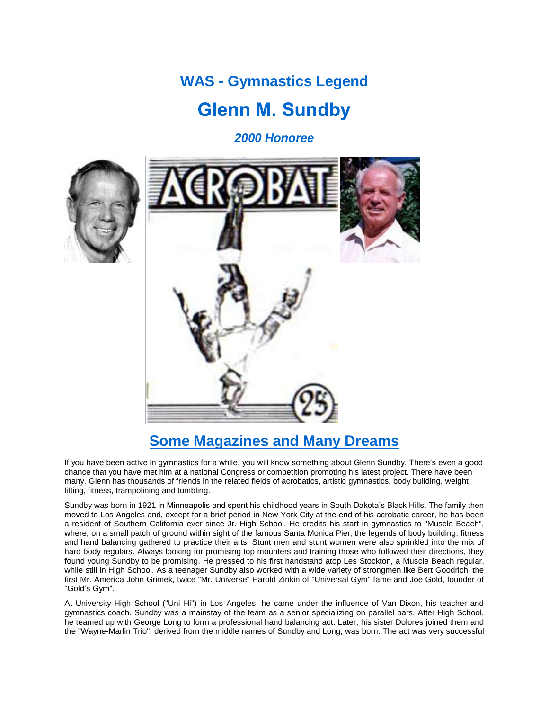# **WAS - Gymnastics Legend**

## **Glenn M. Sundby**

*2000 Honoree*



### **Some Magazines and Many Dreams**

If you have been active in gymnastics for a while, you will know something about Glenn Sundby. There's even a good chance that you have met him at a national Congress or competition promoting his latest project. There have been many. Glenn has thousands of friends in the related fields of acrobatics, artistic gymnastics, body building, weight lifting, fitness, trampolining and tumbling.

Sundby was born in 1921 in Minneapolis and spent his childhood years in South Dakota's Black Hills. The family then moved to Los Angeles and, except for a brief period in New York City at the end of his acrobatic career, he has been a resident of Southern California ever since Jr. High School. He credits his start in gymnastics to "Muscle Beach", where, on a small patch of ground within sight of the famous Santa Monica Pier, the legends of body building, fitness and hand balancing gathered to practice their arts. Stunt men and stunt women were also sprinkled into the mix of hard body regulars. Always looking for promising top mounters and training those who followed their directions, they found young Sundby to be promising. He pressed to his first handstand atop Les Stockton, a Muscle Beach regular, while still in High School. As a teenager Sundby also worked with a wide variety of strongmen like Bert Goodrich, the first Mr. America John Grimek, twice "Mr. Universe" Harold Zinkin of "Universal Gym" fame and Joe Gold, founder of "Gold's Gym".

At University High School ("Uni Hi") in Los Angeles, he came under the influence of Van Dixon, his teacher and gymnastics coach. Sundby was a mainstay of the team as a senior specializing on parallel bars. After High School, he teamed up with George Long to form a professional hand balancing act. Later, his sister Dolores joined them and the "Wayne-Marlin Trio", derived from the middle names of Sundby and Long, was born. The act was very successful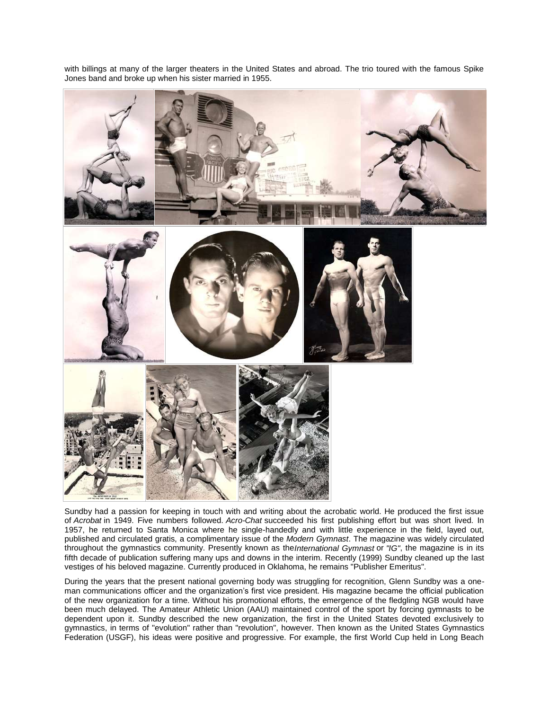with billings at many of the larger theaters in the United States and abroad. The trio toured with the famous Spike Jones band and broke up when his sister married in 1955.



Sundby had a passion for keeping in touch with and writing about the acrobatic world. He produced the first issue of *Acrobat* in 1949. Five numbers followed. *Acro-Chat* succeeded his first publishing effort but was short lived. In 1957, he returned to Santa Monica where he single-handedly and with little experience in the field, layed out, published and circulated gratis, a complimentary issue of the *Modern Gymnast*. The magazine was widely circulated throughout the gymnastics community. Presently known as the*International Gymnast* or *"IG"*, the magazine is in its fifth decade of publication suffering many ups and downs in the interim. Recently (1999) Sundby cleaned up the last vestiges of his beloved magazine. Currently produced in Oklahoma, he remains "Publisher Emeritus".

During the years that the present national governing body was struggling for recognition, Glenn Sundby was a oneman communications officer and the organization's first vice president. His magazine became the official publication of the new organization for a time. Without his promotional efforts, the emergence of the fledgling NGB would have been much delayed. The Amateur Athletic Union (AAU) maintained control of the sport by forcing gymnasts to be dependent upon it. Sundby described the new organization, the first in the United States devoted exclusively to gymnastics, in terms of "evolution" rather than "revolution", however. Then known as the United States Gymnastics Federation (USGF), his ideas were positive and progressive. For example, the first World Cup held in Long Beach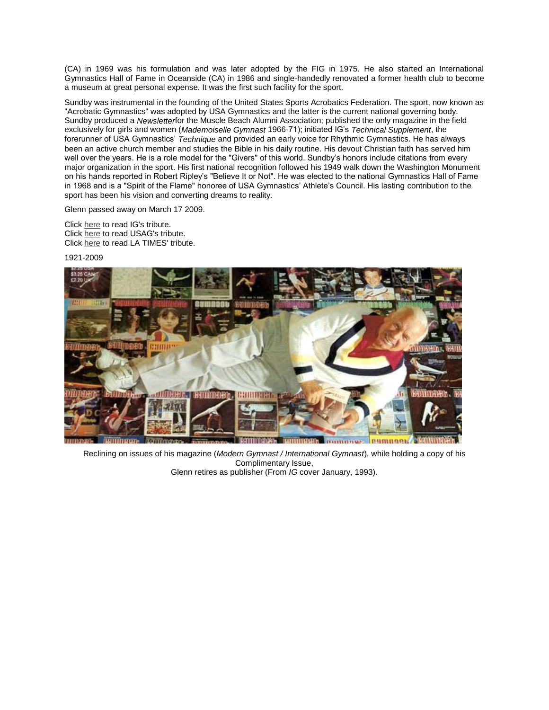(CA) in 1969 was his formulation and was later adopted by the FIG in 1975. He also started an International Gymnastics Hall of Fame in Oceanside (CA) in 1986 and single-handedly renovated a former health club to become a museum at great personal expense. It was the first such facility for the sport.

Sundby was instrumental in the founding of the United States Sports Acrobatics Federation. The sport, now known as "Acrobatic Gymnastics" was adopted by USA Gymnastics and the latter is the current national governing body. Sundby produced a *Newsletter*for the Muscle Beach Alumni Association; published the only magazine in the field exclusively for girls and women (*Mademoiselle Gymnast* 1966-71); initiated IG's *Technical Supplement*, the forerunner of USA Gymnastics' *Technique* and provided an early voice for Rhythmic Gymnastics. He has always been an active church member and studies the Bible in his daily routine. His devout Christian faith has served him well over the years. He is a role model for the "Givers" of this world. Sundby's honors include citations from every major organization in the sport. His first national recognition followed his 1949 walk down the Washington Monument on his hands reported in Robert Ripley's "Believe It or Not". He was elected to the national Gymnastics Hall of Fame in 1968 and is a "Spirit of the Flame" honoree of USA Gymnastics' Athlete's Council. His lasting contribution to the sport has been his vision and converting dreams to reality.

Glenn passed away on March 17 2009.

Click [here](http://www.intlgymnast.com/Wc8ba6354f14c8.htm) to read IG's tribute. Click [here](http://usagym.org/pages/index.html) to read USAG's tribute. Click [here](http://www.latimes.com/news/obituaries/la-me-glenn-sundby21-2009mar21,0,1572976.story) to read LA TIMES' tribute.

1921-2009



Reclining on issues of his magazine (*Modern Gymnast / International Gymnast*), while holding a copy of his Complimentary Issue, Glenn retires as publisher (From *IG* cover January, 1993).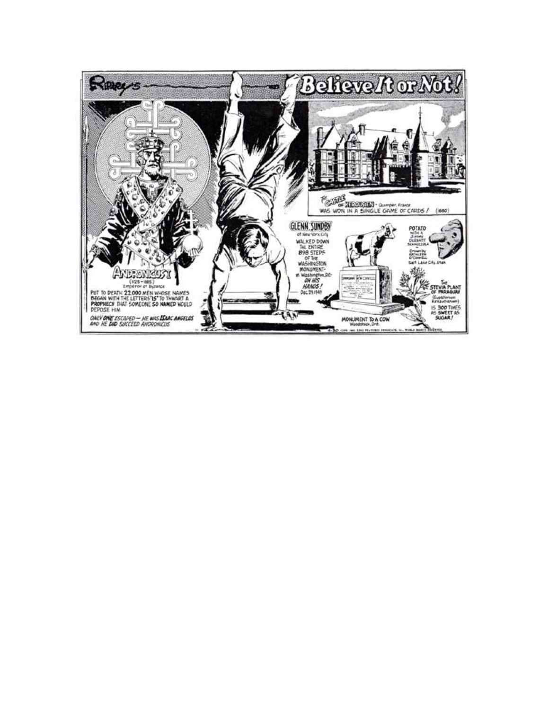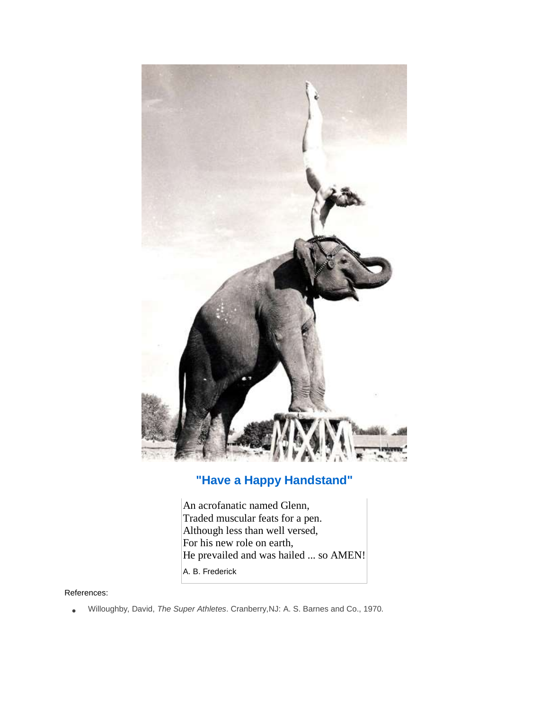

#### **"Have a Happy Handstand"**

An acrofanatic named Glenn, Traded muscular feats for a pen. Although less than well versed, For his new role on earth, He prevailed and was hailed ... so AMEN! A. B. Frederick

#### References:

Willoughby, David, *The Super Athletes*. Cranberry,NJ: A. S. Barnes and Co., 1970.